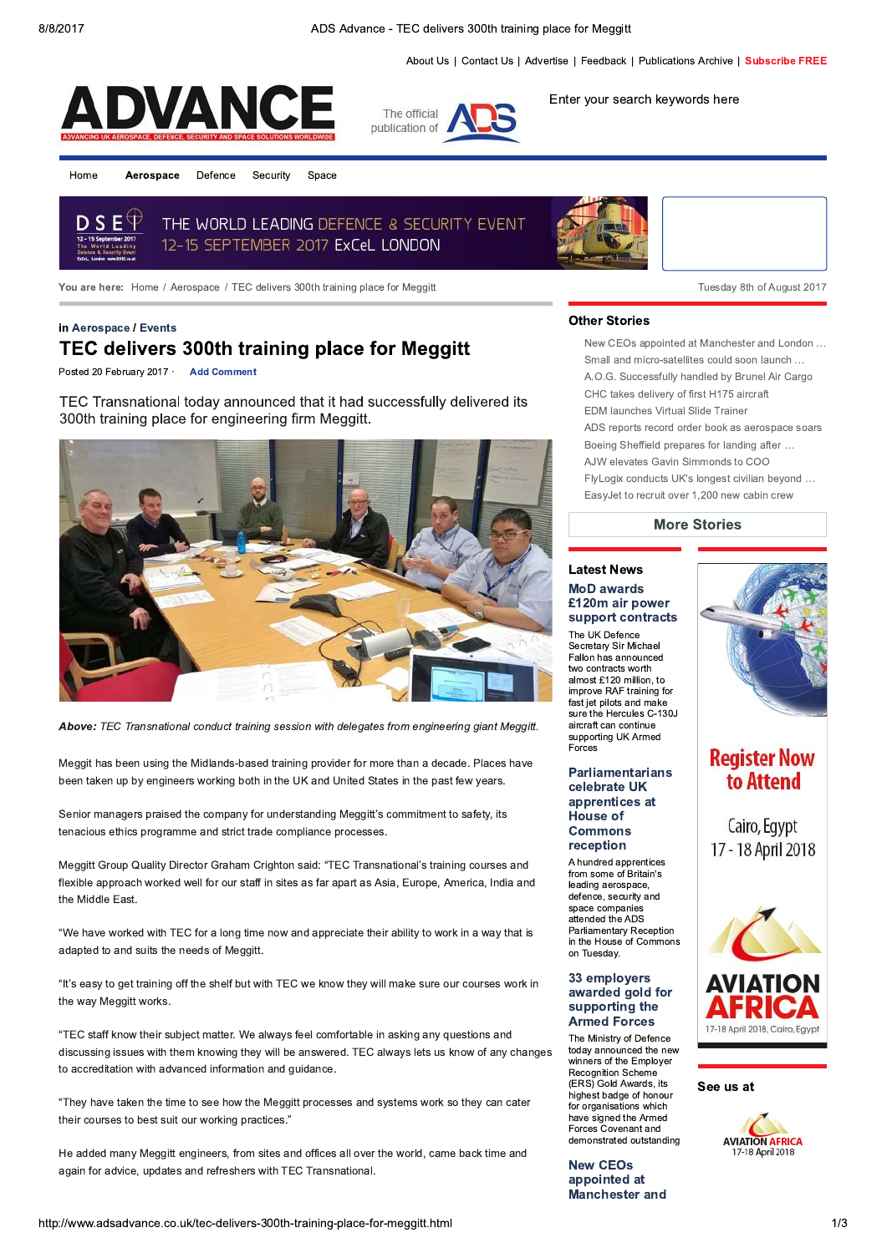D S

About Us | Contact Us | Advertise | Feedback | Publications Archive | Subscribe FREE





Enter your search keywords here

Home Aerospace Defence Security Space

> THE WORLD LEADING DEFENCE & SECURITY EVENT 12-15 SEPTEMBER 2017 ExCeL LONDON



You are here: Home / Aerospace / TEC delivers 300th training place for Meggitt

Tuesday 8th of August 2017

# in Aerospace / Events

# TEC delivers 300th training place for Meggitt

Posted 20 February 2017 **Add Comment** 

TEC Transnational today announced that it had successfully delivered its 300th training place for engineering firm Meggitt.



Above: TEC Transnational conduct training session with delegates from engineering giant Meggitt.

Meggit has been using the Midlands-based training provider for more than a decade. Places have been taken up by engineers working both in the UK and United States in the past few years.

Senior managers praised the company for understanding Meggitt's commitment to safety, its tenacious ethics programme and strict trade compliance processes.

Meggitt Group Quality Director Graham Crighton said: "TEC Transnational's training courses and flexible approach worked well for our staff in sites as far apart as Asia, Europe, America, India and the Middle East.

"We have worked with TEC for a long time now and appreciate their ability to work in a way that is adapted to and suits the needs of Meggitt.

"It's easy to get training off the shelf but with TEC we know they will make sure our courses work in the way Meggitt works.

"TEC staff know their subject matter. We always feel comfortable in asking any questions and discussing issues with them knowing they will be answered. TEC always lets us know of any changes to accreditation with advanced information and guidance.

"They have taken the time to see how the Meggitt processes and systems work so they can cater their courses to best suit our working practices."

He added many Meggitt engineers, from sites and offices all over the world, came back time and again for advice, updates and refreshers with TEC Transnational.

# **Other Stories**

**Latest News MoD** awards £120m air power support contracts The UK Defence Secretary Sir Michael Fallon has announced two contracts worth almost £120 million, to improve RAF training for fast jet pilots and make sure the Hercules C-130J

aircraft can continue supporting UK Armed<br>Forces

celebrate UK apprentices at

**House of** 

**Commons** reception

**Parliamentarians** 

A hundred apprentices

from some of Britain's

in the House of Commons

awarded gold for

The Ministry of Defence

highest badge of honour

for organisations which have signed the Armed

Forces Covenant and demonstrated outstanding

**New CEOs** 

appointed at Manchester and

today announced the new winners of the Employer

leading aerospace, defence, security and

snace companies attended the ADS Parliamentary Reception

33 employers

supporting the **Armed Forces** 

Recognition Scheme (ERS) Gold Awards, its

on Tuesday

New CEOs appointed at Manchester and London ... Small and micro-satellites could soon launch ... A.O.G. Successfully handled by Brunel Air Cargo CHC takes delivery of first H175 aircraft EDM launches Virtual Slide Trainer ADS reports record order book as aerospace soars Boeing Sheffield prepares for landing after ... AJW elevates Gavin Simmonds to COO FlyLogix conducts UK's longest civilian beyond ... EasyJet to recruit over 1,200 new cabin crew

# **More Stories**





See us at